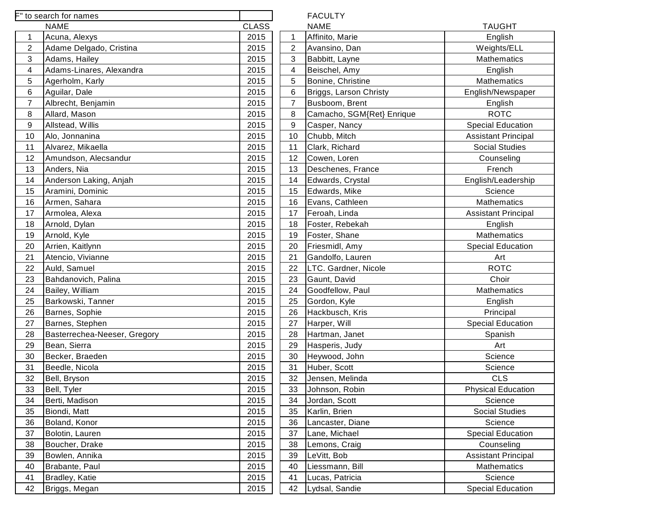|                | F" to search for names       |              |                | <b>FACULTY</b>            |                         |
|----------------|------------------------------|--------------|----------------|---------------------------|-------------------------|
|                | <b>NAME</b>                  | <b>CLASS</b> |                | <b>NAME</b>               | <b>TAUGHT</b>           |
| 1              | Acuna, Alexys                | 2015         | $\mathbf 1$    | Affinito, Marie           | English                 |
| $\overline{c}$ | Adame Delgado, Cristina      | 2015         | 2              | Avansino, Dan             | Weights/ELL             |
| 3              | Adams, Hailey                | 2015         | 3              | Babbitt, Layne            | Mathematics             |
| 4              | Adams-Linares, Alexandra     | 2015         | 4              | Beischel, Amy             | English                 |
| 5              | Agerholm, Karly              | 2015         | 5              | Bonine, Christine         | Mathematics             |
| 6              | Aguilar, Dale                | 2015         | 6              | Briggs, Larson Christy    | English/Newspa          |
| $\overline{7}$ | Albrecht, Benjamin           | 2015         | $\overline{7}$ | Busboom, Brent            | English                 |
| 8              | Allard, Mason                | 2015         | 8              | Camacho, SGM{Ret} Enrique | <b>ROTC</b>             |
| 9              | Allstead, Willis             | 2015         | $9\,$          | Casper, Nancy             | <b>Special Educati</b>  |
| 10             | Alo, Jonnanina               | 2015         | 10             | Chubb, Mitch              | <b>Assistant Princi</b> |
| 11             | Alvarez, Mikaella            | 2015         | 11             | Clark, Richard            | Social Studies          |
| 12             | Amundson, Alecsandur         | 2015         | 12             | Cowen, Loren              | Counseling              |
| 13             | Anders, Nia                  | 2015         | 13             | Deschenes, France         | French                  |
| 14             | Anderson Laking, Anjah       | 2015         | 14             | Edwards, Crystal          | English/Leaders         |
| 15             | Aramini, Dominic             | 2015         | 15             | Edwards, Mike             | Science                 |
| 16             | Armen, Sahara                | 2015         | 16             | Evans, Cathleen           | Mathematics             |
| 17             | Armolea, Alexa               | 2015         | 17             | Feroah, Linda             | <b>Assistant Princi</b> |
| 18             | Arnold, Dylan                | 2015         | 18             | Foster, Rebekah           | English                 |
| 19             | Arnold, Kyle                 | 2015         | 19             | Foster, Shane             | Mathematics             |
| 20             | Arrien, Kaitlynn             | 2015         | 20             | Friesmidl, Amy            | <b>Special Educati</b>  |
| 21             | Atencio, Vivianne            | 2015         | 21             | Gandolfo, Lauren          | Art                     |
| 22             | Auld, Samuel                 | 2015         | 22             | LTC. Gardner, Nicole      | <b>ROTC</b>             |
| 23             | Bahdanovich, Palina          | 2015         | 23             | Gaunt, David              | Choir                   |
| 24             | Bailey, William              | 2015         | 24             | Goodfellow, Paul          | Mathematics             |
| 25             | Barkowski, Tanner            | 2015         | 25             | Gordon, Kyle              | English                 |
| 26             | Barnes, Sophie               | 2015         | 26             | Hackbusch, Kris           | Principal               |
| 27             | Barnes, Stephen              | 2015         | 27             | Harper, Will              | <b>Special Educati</b>  |
| 28             | Basterrechea-Neeser, Gregory | 2015         | 28             | Hartman, Janet            | Spanish                 |
| 29             | Bean, Sierra                 | 2015         | 29             | Hasperis, Judy            | Art                     |
| 30             | Becker, Braeden              | 2015         | 30             | Heywood, John             | Science                 |
| 31             | Beedle, Nicola               | 2015         | 31             | Huber, Scott              | Science                 |
| 32             | Bell, Bryson                 | 2015         | 32             | Jensen, Melinda           | <b>CLS</b>              |
| 33             | Bell, Tyler                  | 2015         | 33             | Johnson, Robin            | <b>Physical Educat</b>  |
| 34             | Berti, Madison               | 2015         | 34             | Jordan, Scott             | Science                 |
| 35             | Biondi, Matt                 | 2015         | 35             | Karlin, Brien             | Social Studies          |
| 36             | Boland, Konor                | 2015         | 36             | Lancaster, Diane          | Science                 |
| 37             | Bolotin, Lauren              | 2015         | 37             | Lane, Michael             | <b>Special Educati</b>  |
| 38             | Boucher, Drake               | 2015         | 38             | Lemons, Craig             | Counseling              |
| 39             | Bowlen, Annika               | 2015         | 39             | LeVitt, Bob               | <b>Assistant Princi</b> |
| 40             | Brabante, Paul               | 2015         | 40             | Liessmann, Bill           | Mathematics             |
| 41             | Bradley, Katie               | 2015         | 41             | Lucas, Patricia           | Science                 |
| 42             | Briggs, Megan                | 2015         | 42             | Lydsal, Sandie            | <b>Special Educati</b>  |
|                |                              |              |                |                           |                         |

English/Newspaper

Special Education Assistant Principal Social Studies

English/Leadership

Assistant Principal

Special Education

Special Education

Physical Education

Social Studies

Special Education

Assistant Principal

Special Education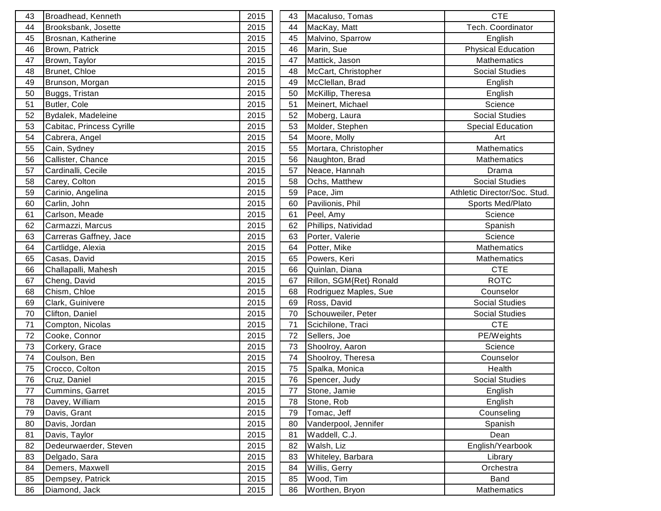| 43 | Broadhead, Kenneth        | 2015 | 43 | Macaluso, Tomas         | <b>CTE</b>                   |
|----|---------------------------|------|----|-------------------------|------------------------------|
| 44 | Brooksbank, Josette       | 2015 | 44 | MacKay, Matt            | Tech. Coordinator            |
| 45 | Brosnan, Katherine        | 2015 | 45 | Malvino, Sparrow        | English                      |
| 46 | Brown, Patrick            | 2015 | 46 | Marin, Sue              | <b>Physical Education</b>    |
| 47 | Brown, Taylor             | 2015 | 47 | Mattick, Jason          | Mathematics                  |
| 48 | Brunet, Chloe             | 2015 | 48 | McCart, Christopher     | <b>Social Studies</b>        |
| 49 | Brunson, Morgan           | 2015 | 49 | McClellan, Brad         | English                      |
| 50 | Buggs, Tristan            | 2015 | 50 | McKillip, Theresa       | English                      |
| 51 | Butler, Cole              | 2015 | 51 | Meinert, Michael        | Science                      |
| 52 | Bydalek, Madeleine        | 2015 | 52 | Moberg, Laura           | <b>Social Studies</b>        |
| 53 | Cabitac, Princess Cyrille | 2015 | 53 | Molder, Stephen         | <b>Special Education</b>     |
| 54 | Cabrera, Angel            | 2015 | 54 | Moore, Molly            | Art                          |
| 55 | Cain, Sydney              | 2015 | 55 | Mortara, Christopher    | <b>Mathematics</b>           |
| 56 | Callister, Chance         | 2015 | 56 | Naughton, Brad          | <b>Mathematics</b>           |
| 57 | Cardinalli, Cecile        | 2015 | 57 | Neace, Hannah           | Drama                        |
| 58 | Carey, Colton             | 2015 | 58 | Ochs, Matthew           | <b>Social Studies</b>        |
| 59 | Carinio, Angelina         | 2015 | 59 | Pace, Jim               | Athletic Director/Soc. Stud. |
| 60 | Carlin, John              | 2015 | 60 | Pavilionis, Phil        | Sports Med/Plato             |
| 61 | Carlson, Meade            | 2015 | 61 | Peel, Amy               | Science                      |
| 62 | Carmazzi, Marcus          | 2015 | 62 | Phillips, Natividad     | Spanish                      |
| 63 | Carreras Gaffney, Jace    | 2015 | 63 | Porter, Valerie         | Science                      |
| 64 | Cartlidge, Alexia         | 2015 | 64 | Potter, Mike            | <b>Mathematics</b>           |
| 65 | Casas, David              | 2015 | 65 | Powers, Keri            | Mathematics                  |
| 66 | Challapalli, Mahesh       | 2015 | 66 | Quinlan, Diana          | <b>CTE</b>                   |
| 67 | Cheng, David              | 2015 | 67 | Rillon, SGM{Ret} Ronald | <b>ROTC</b>                  |
| 68 | Chism, Chloe              | 2015 | 68 | Rodriguez Maples, Sue   | Counselor                    |
| 69 | Clark, Guinivere          | 2015 | 69 | Ross, David             | Social Studies               |
| 70 | Clifton, Daniel           | 2015 | 70 | Schouweiler, Peter      | Social Studies               |
| 71 | Compton, Nicolas          | 2015 | 71 | Scichilone, Traci       | <b>CTE</b>                   |
| 72 | Cooke, Connor             | 2015 | 72 | Sellers, Joe            | PE/Weights                   |
| 73 | Corkery, Grace            | 2015 | 73 | Shoolroy, Aaron         | Science                      |
| 74 | Coulson, Ben              | 2015 | 74 | Shoolroy, Theresa       | Counselor                    |
| 75 | Crocco, Colton            | 2015 | 75 | Spalka, Monica          | Health                       |
| 76 | Cruz, Daniel              | 2015 | 76 | Spencer, Judy           | <b>Social Studies</b>        |
| 77 | Cummins, Garret           | 2015 | 77 | Stone, Jamie            | English                      |
| 78 | Davey, William            | 2015 | 78 | Stone, Rob              | English                      |
| 79 | Davis, Grant              | 2015 | 79 | Tomac, Jeff             | Counseling                   |
| 80 | Davis, Jordan             | 2015 | 80 | Vanderpool, Jennifer    | Spanish                      |
| 81 | Davis, Taylor             | 2015 | 81 | Waddell, C.J.           | Dean                         |
| 82 | Dedeurwaerder, Steven     | 2015 | 82 | Walsh, Liz              | English/Yearbook             |
| 83 | Delgado, Sara             | 2015 | 83 | Whiteley, Barbara       | Library                      |
| 84 | Demers, Maxwell           | 2015 | 84 | Willis, Gerry           | Orchestra                    |
| 85 | Dempsey, Patrick          | 2015 | 85 | Wood, Tim               | Band                         |
| 86 | Diamond, Jack             | 2015 | 86 | Worthen, Bryon          | Mathematics                  |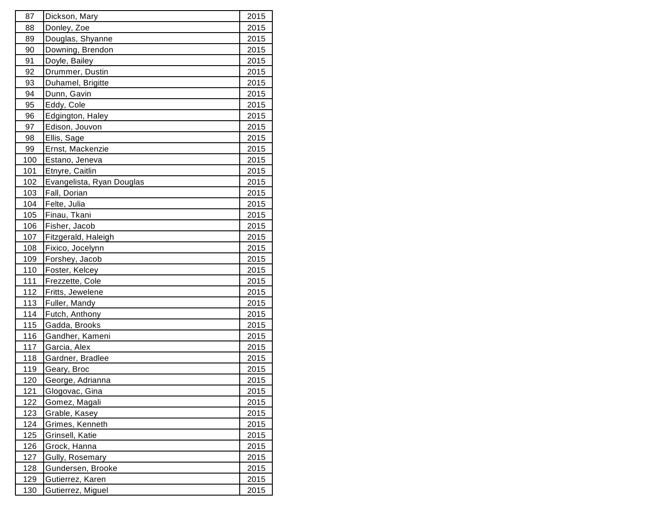| 87         | Dickson, Mary             | 2015 |
|------------|---------------------------|------|
| 88         | Donley, Zoe               | 2015 |
| 89         | Douglas, Shyanne          | 2015 |
| 90         | Downing, Brendon          | 2015 |
| 91         | Doyle, Bailey             | 2015 |
| 92         | Drummer, Dustin           | 2015 |
| 93         | Duhamel, Brigitte         | 2015 |
| 94         | Dunn, Gavin               | 2015 |
| 95         | Eddy, Cole                | 2015 |
| 96         | Edgington, Haley          | 2015 |
| 97         | Edison, Jouvon            | 2015 |
| 98         | Ellis, Sage               | 2015 |
| 99         | Ernst, Mackenzie          | 2015 |
| 100        | Estano, Jeneva            | 2015 |
| 101        | Etnyre, Caitlin           | 2015 |
| 102        | Evangelista, Ryan Douglas | 2015 |
| 103        | Fall, Dorian              | 2015 |
| 104        | Felte, Julia              | 2015 |
| 105        | Finau, Tkani              | 2015 |
| 106        | Fisher, Jacob             | 2015 |
| 107        | Fitzgerald, Haleigh       | 2015 |
| 108        | Fixico, Jocelynn          | 2015 |
| <u>109</u> | Forshey, Jacob            | 2015 |
| 110        | Foster, Kelcey            | 2015 |
| 111        | Frezzette, Cole           | 2015 |
| 112        | Fritts, Jewelene          | 2015 |
| 113        | Fuller, Mandy             | 2015 |
| 114        | Futch, Anthony            | 2015 |
| 115        | Gadda, Brooks             | 2015 |
| 116        | Gandher, Kameni           | 2015 |
| 117        | Garcia, Alex              | 2015 |
| 118        | Gardner, Bradlee          | 2015 |
| <u>119</u> | Geary, Broc               | 2015 |
| 120        | George, Adrianna          | 2015 |
| 121        | Glogovac, Gina            | 2015 |
| 122        | Gomez, Magali             | 2015 |
| 123        | Grable, Kasey             | 2015 |
| <u>124</u> | Grimes, Kenneth           | 2015 |
| 125        | Grinsell, Katie           | 2015 |
| 126        | Grock, Hanna              | 2015 |
| 127        | Gully, Rosemary           | 2015 |
| 128        | Gundersen, Brooke         | 2015 |
| <u>129</u> | Gutierrez, Karen          | 2015 |
| <u>130</u> | Gutierrez, Miguel         | 2015 |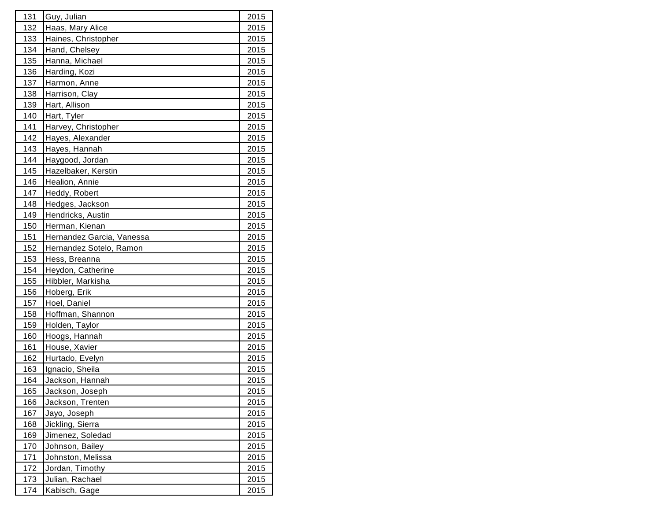| 131        | Guy, Julian               | 2015        |
|------------|---------------------------|-------------|
| 132        | Haas, Mary Alice          | 2015        |
| 133        | Haines, Christopher       | 2015        |
| 134        | Hand, Chelsey             | 2015        |
| 135        | Hanna, Michael            | 2015        |
| 136        | Harding, Kozi             | 2015        |
| 137        | Harmon, Anne              | 2015        |
| 138        | Harrison, Clay            | 2015        |
| 139        | Hart, Allison             | 2015        |
| 140        | Hart, Tyler               | 2015        |
| 141        | Harvey, Christopher       | 2015        |
| 142        | Hayes, Alexander          | 2015        |
| 143        | Hayes, Hannah             | 2015        |
| 144        | Haygood, Jordan           | 2015        |
| 145        | Hazelbaker, Kerstin       | 2015        |
| 146        | Healion, Annie            | 2015        |
| 147        | Heddy, Robert             | 2015        |
| 148        | Hedges, Jackson           | 2015        |
| 149        | Hendricks, Austin         | 2015        |
| 150        | Herman, Kienan            | 2015        |
| 151        | Hernandez Garcia, Vanessa | 2015        |
| 152        | Hernandez Sotelo, Ramon   | 2015        |
| 153        | Hess, Breanna             | 2015        |
| 154        | Heydon, Catherine         | 2015        |
| 155        | Hibbler, Markisha         | 2015        |
| 156        | Hoberg, Erik              | 2015        |
| 157        | Hoel, Daniel              | 2015        |
| 158        | Hoffman, Shannon          | 2015        |
| 159        | Holden, Taylor            | 2015        |
| 160        | Hoogs, Hannah             | 2015        |
| 161        | House, Xavier             | 2015        |
| 162        | Hurtado, Evelyn           | 2015        |
| <u>163</u> | Ignacio, Sheila           | 2015        |
| 164        | Jackson, Hannah           | 2015        |
| 165        | Jackson, Joseph           | 2015        |
| 166        | Jackson, Trenten          | 2015        |
| 167        | Jayo, Joseph              | 2015        |
| 168        | Jickling, Sierra          | <u>2015</u> |
| 169        | Jimenez, Soledad          | 2015        |
| 170        | Johnson, Bailey           | 2015        |
| 171        | Johnston, Melissa         | 2015        |
| 172        | Jordan, Timothy           | 2015        |
| 173        | Julian, Rachael           | 2015        |
| 174        | Kabisch, Gage             | 2015        |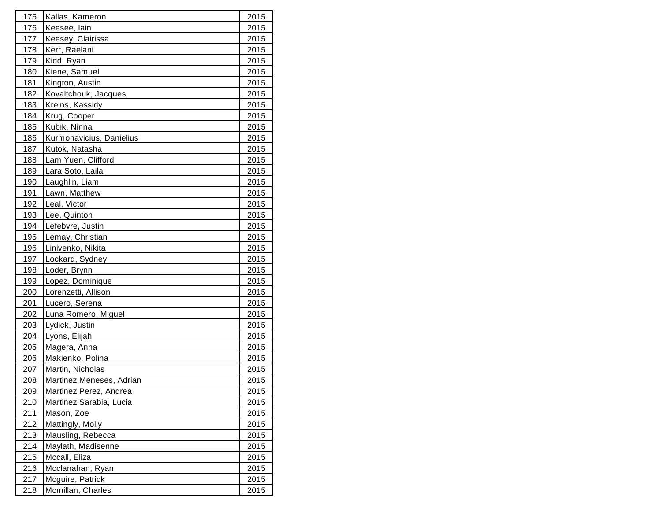| 175        | Kallas, Kameron          | 2015 |
|------------|--------------------------|------|
| 176        | Keesee, lain             | 2015 |
| 177        | Keesey, Clairissa        | 2015 |
| <u>178</u> | Kerr, Raelani            | 2015 |
| 179        | Kidd, Ryan               | 2015 |
| 180        | Kiene, Samuel            | 2015 |
| 181        | Kington, Austin          | 2015 |
| 182        | Kovaltchouk, Jacques     | 2015 |
| 183        | Kreins, Kassidy          | 2015 |
| 184        | Krug, Cooper             | 2015 |
| 185        | Kubik, Ninna             | 2015 |
| 186        | Kurmonavicius, Danielius | 2015 |
| 187        | Kutok, Natasha           | 2015 |
| <u>188</u> | Lam Yuen, Clifford       | 2015 |
| 189        | Lara Soto, Laila         | 2015 |
| 190        | Laughlin, Liam           | 2015 |
| 191        | Lawn, Matthew            | 2015 |
| 192        | Leal, Victor             | 2015 |
| 193        | Lee, Quinton             | 2015 |
| 194        | Lefebvre, Justin         | 2015 |
| 195        | Lemay, Christian         | 2015 |
| 196        | Linivenko, Nikita        | 2015 |
| 197        | Lockard, Sydney          | 2015 |
| 198        | Loder, Brynn             | 2015 |
| 199        | Lopez, Dominique         | 2015 |
| 200        | Lorenzetti, Allison      | 2015 |
| 201        | Lucero, Serena           | 2015 |
| 202        | Luna Romero, Miguel      | 2015 |
| 203        | Lydick, Justin           | 2015 |
| 204        | Lyons, Elijah            | 2015 |
| 205        | Magera, Anna             | 2015 |
| 206        | Makienko, Polina         | 2015 |
| 207        | Martin, Nicholas         | 2015 |
| 208        | Martinez Meneses, Adrian | 2015 |
| 209        | Martinez Perez, Andrea   | 2015 |
| 210        | Martinez Sarabia, Lucia  | 2015 |
| 211        | Mason, Zoe               | 2015 |
| 212        | Mattingly, Molly         | 2015 |
| 213        | Mausling, Rebecca        | 2015 |
| 214        | Maylath, Madisenne       | 2015 |
| 215        | Mccall, Eliza            | 2015 |
| 216        | Mcclanahan, Ryan         | 2015 |
| 217        | Mcguire, Patrick         | 2015 |
| 218        | Mcmillan, Charles        | 2015 |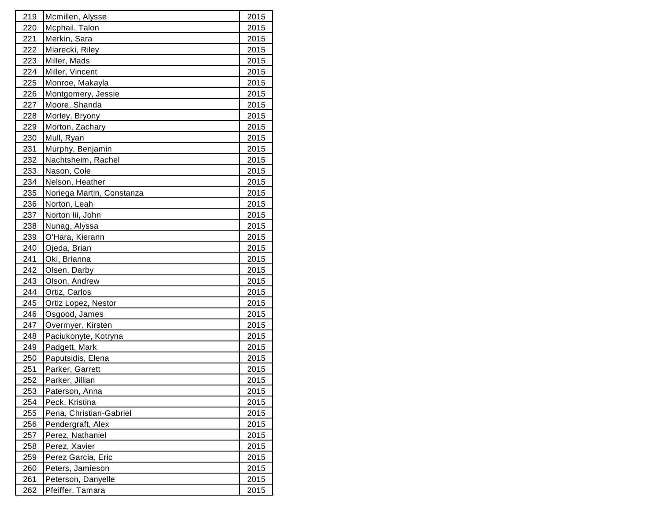| 219        | Mcmillen, Alysse          | 2015 |
|------------|---------------------------|------|
| 220        | Mcphail, Talon            | 2015 |
| 221        | Merkin, Sara              | 2015 |
| 222        | Miarecki, Riley           | 2015 |
| 223        | Miller, Mads              | 2015 |
| 224        | Miller, Vincent           | 2015 |
| 225        | Monroe, Makayla           | 2015 |
| 226        | Montgomery, Jessie        | 2015 |
| 227        | Moore, Shanda             | 2015 |
| 228        | Morley, Bryony            | 2015 |
| 229        | Morton, Zachary           | 2015 |
| 230        | Mull, Ryan                | 2015 |
| 231        | Murphy, Benjamin          | 2015 |
| <u>232</u> | Nachtsheim, Rachel        | 2015 |
| 233        | Nason, Cole               | 2015 |
| 234        | Nelson, Heather           | 2015 |
| 235        | Noriega Martin, Constanza | 2015 |
| 236        | Norton, Leah              | 2015 |
| 237        | Norton lii, John          | 2015 |
| 238        | Nunag, Alyssa             | 2015 |
| 239        | O'Hara, Kierann           | 2015 |
| 240        | Ojeda, Brian              | 2015 |
| 241        | Oki, Brianna              | 2015 |
| 242        | Olsen, Darby              | 2015 |
| 243        | Olson, Andrew             | 2015 |
| 244        | Ortiz, Carlos             | 2015 |
| 245        | Ortiz Lopez, Nestor       | 2015 |
| 246        | Osgood, James             | 2015 |
| 247        | Overmyer, Kirsten         | 2015 |
| 248        | Paciukonyte, Kotryna      | 2015 |
| 249        | Padgett, Mark             | 2015 |
| 250        | Paputsidis, Elena         | 2015 |
| 251        | Parker, Garrett           | 2015 |
| 252        | Parker, Jillian           | 2015 |
| 253        | Paterson, Anna            | 2015 |
| 254        | Peck, Kristina            | 2015 |
| 255        | Pena, Christian-Gabriel   | 2015 |
| 256        | Pendergraft, Alex         | 2015 |
| 257        | Perez, Nathaniel          | 2015 |
| 258        | Perez, Xavier             | 2015 |
| 259        | Perez Garcia, Eric        | 2015 |
| 260        | Peters, Jamieson          | 2015 |
| 261        | Peterson, Danyelle        | 2015 |
| <u>262</u> | Pfeiffer, Tamara          | 2015 |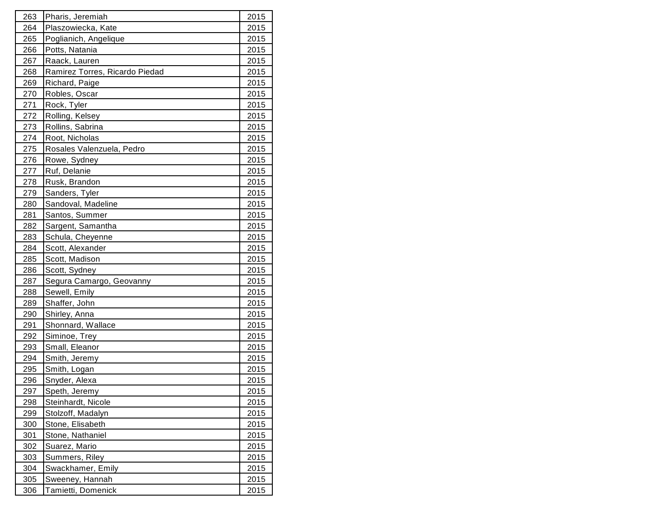| 263 | Pharis, Jeremiah               | 2015 |
|-----|--------------------------------|------|
| 264 | Plaszowiecka, Kate             | 2015 |
| 265 | Poglianich, Angelique          | 2015 |
| 266 | Potts, Natania                 | 2015 |
| 267 | Raack, Lauren                  | 2015 |
| 268 | Ramirez Torres, Ricardo Piedad | 2015 |
| 269 | Richard, Paige                 | 2015 |
| 270 | Robles, Oscar                  | 2015 |
| 271 | Rock, Tyler                    | 2015 |
| 272 | Rolling, Kelsey                | 2015 |
| 273 | Rollins, Sabrina               | 2015 |
| 274 | Root, Nicholas                 | 2015 |
| 275 | Rosales Valenzuela, Pedro      | 2015 |
| 276 | Rowe, Sydney                   | 2015 |
| 277 | Ruf, Delanie                   | 2015 |
| 278 | Rusk, Brandon                  | 2015 |
| 279 | Sanders, Tyler                 | 2015 |
| 280 | Sandoval, Madeline             | 2015 |
| 281 | Santos, Summer                 | 2015 |
| 282 | Sargent, Samantha              | 2015 |
| 283 | Schula, Cheyenne               | 2015 |
| 284 | Scott, Alexander               | 2015 |
| 285 | Scott, Madison                 | 2015 |
| 286 | Scott, Sydney                  | 2015 |
| 287 | Segura Camargo, Geovanny       | 2015 |
| 288 | Sewell, Emily                  | 2015 |
| 289 | Shaffer, John                  | 2015 |
| 290 | Shirley, Anna                  | 2015 |
| 291 | Shonnard, Wallace              | 2015 |
| 292 | Siminoe, Trey                  | 2015 |
| 293 | Small, Eleanor                 | 2015 |
| 294 | Smith, Jeremy                  | 2015 |
| 295 | Smith, Logan                   | 2015 |
| 296 | Snyder, Alexa                  | 2015 |
| 297 | Speth, Jeremy                  | 2015 |
| 298 | Steinhardt, Nicole             | 2015 |
| 299 | Stolzoff, Madalyn              | 2015 |
| 300 | Stone, Elisabeth               | 2015 |
| 301 | Stone, Nathaniel               | 2015 |
| 302 | Suarez, Mario                  | 2015 |
| 303 | Summers, Riley                 | 2015 |
| 304 | Swackhamer, Emily              | 2015 |
| 305 | Sweeney, Hannah                | 2015 |
| 306 | Tamietti, Domenick             | 2015 |